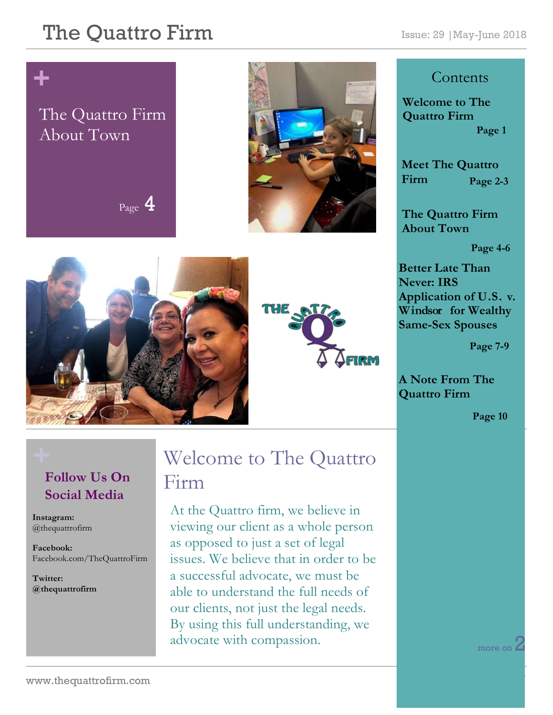#### The Quattro Firm Issue: 29 | May-June 2018

# **+**

#### The Quattro Firm About Town

 $_{\text{Page}}$  4







#### **Contents**

**Welcome to The Quattro Firm Page 1**

**Meet The Quattro Firm Page 2-3**

**The Quattro Firm About Town**

**Page 4-6**

**Better Late Than Never: IRS Application of U.S. v. Windsor for Wealthy Same-Sex Spouses**

**Page 7-9** 

**A Note From The Quattro Firm** 

**Page 10**

#### **Follow Us On Social Media**

**Instagram:**  @thequattrofirm

**Facebook:** Facebook.com/TheQuattroFirm

**Twitter: @thequattrofirm**

#### **+** Welcome to The Quattro Firm

At the Quattro firm, we believe in viewing our client as a whole person as opposed to just a set of legal issues. We believe that in order to be a successful advocate, we must be able to understand the full needs of our clients, not just the legal needs. By using this full understanding, we advocate with compassion.

more on Z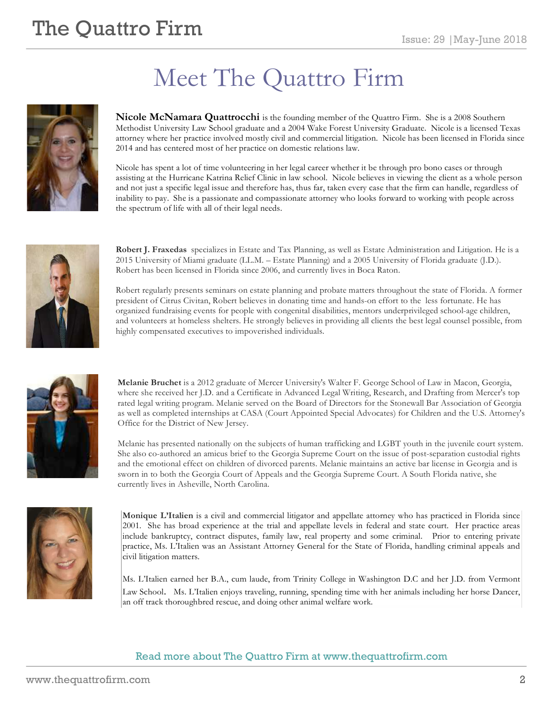# **The Quattro Firm**  $\sum_{\text{Issue: }29 \text{ |May-lune }2018}$

# Meet The Quattro Firm

**Nicole McNamara Quattrocchi** is the founding member of the Quattro Firm. She is a 2008 Southern Methodist University Law School graduate and a 2004 Wake Forest University Graduate. Nicole is a licensed Texas attorney where her practice involved mostly civil and commercial litigation. Nicole has been licensed in Florida since 2014 and has centered most of her practice on domestic relations law.

Nicole has spent a lot of time volunteering in her legal career whether it be through pro bono cases or through assisting at the Hurricane Katrina Relief Clinic in law school. Nicole believes in viewing the client as a whole person and not just a specific legal issue and therefore has, thus far, taken every case that the firm can handle, regardless of inability to pay. She is a passionate and compassionate attorney who looks forward to working with people across the spectrum of life with all of their legal needs.



**Robert J. Fraxedas** specializes in Estate and Tax Planning, as well as Estate Administration and Litigation. He is a 2015 University of Miami graduate (LL.M. – Estate Planning) and a 2005 University of Florida graduate (J.D.). Robert has been licensed in Florida since 2006, and currently lives in Boca Raton.

Robert regularly presents seminars on estate planning and probate matters throughout the state of Florida. A former president of Citrus Civitan, Robert believes in donating time and hands-on effort to the less fortunate. He has organized fundraising events for people with congenital disabilities, mentors underprivileged school-age children, and volunteers at homeless shelters. He strongly believes in providing all clients the best legal counsel possible, from highly compensated executives to impoverished individuals.



**Melanie Bruchet** is a 2012 graduate of Mercer University's Walter F. George School of Law in Macon, Georgia, where she received her J.D. and a Certificate in Advanced Legal Writing, Research, and Drafting from Mercer's top rated legal writing program. Melanie served on the Board of Directors for the Stonewall Bar Association of Georgia as well as completed internships at CASA (Court Appointed Special Advocates) for Children and the U.S. Attorney's Office for the District of New Jersey.

Melanie has presented nationally on the subjects of human trafficking and LGBT youth in the juvenile court system. She also co-authored an amicus brief to the Georgia Supreme Court on the issue of post-separation custodial rights and the emotional effect on children of divorced parents. Melanie maintains an active bar license in Georgia and is sworn in to both the Georgia Court of Appeals and the Georgia Supreme Court. A South Florida native, she currently lives in Asheville, North Carolina.



**Monique L'Italien** is a civil and commercial litigator and appellate attorney who has practiced in Florida since 2001. She has broad experience at the trial and appellate levels in federal and state court. Her practice areas include bankruptcy, contract disputes, family law, real property and some criminal. Prior to entering private practice, Ms. L'Italien was an Assistant Attorney General for the State of Florida, handling criminal appeals and civil litigation matters.

Ms. L'Italien earned her B.A., cum laude, from Trinity College in Washington D.C and her J.D. from Vermont Law School. Ms. L'Italien enjoys traveling, running, spending time with her animals including her horse Dancer, an off track thoroughbred rescue, and doing other animal welfare work.

#### Read more about The Quattro Firm at www.thequattrofirm.com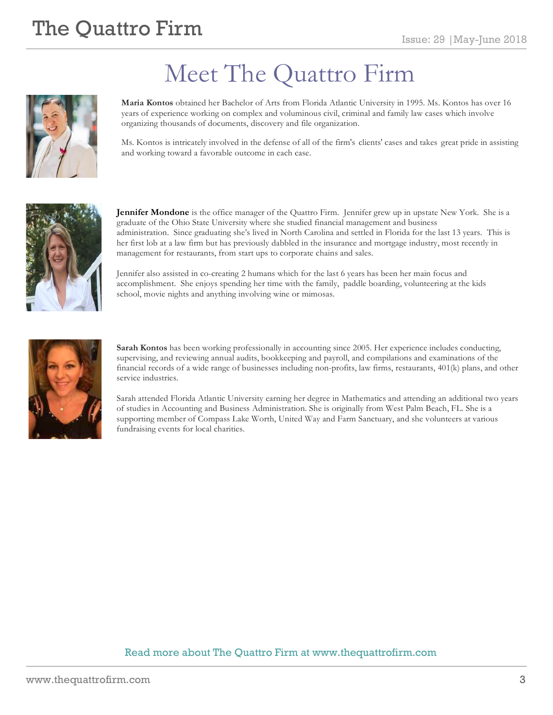# **The Quattro Firm**  $\sum_{\text{Issue: }29 \text{ |May-lune }2018}$



# Meet The Quattro Firm

**Maria Kontos** obtained her Bachelor of Arts from Florida Atlantic University in 1995. Ms. Kontos has over 16 years of experience working on complex and voluminous civil, criminal and family law cases which involve organizing thousands of documents, discovery and file organization.

Ms. Kontos is intricately involved in the defense of all of the firm's clients' cases and takes great pride in assisting and working toward a favorable outcome in each case.



**Jennifer Mondone** is the office manager of the Quattro Firm. Jennifer grew up in upstate New York. She is a graduate of the Ohio State University where she studied financial management and business administration. Since graduating she's lived in North Carolina and settled in Florida for the last 13 years. This is her first lob at a law firm but has previously dabbled in the insurance and mortgage industry, most recently in management for restaurants, from start ups to corporate chains and sales.

Jennifer also assisted in co-creating 2 humans which for the last 6 years has been her main focus and accomplishment. She enjoys spending her time with the family, paddle boarding, volunteering at the kids school, movie nights and anything involving wine or mimosas.



**Sarah Kontos** has been working professionally in accounting since 2005. Her experience includes conducting, supervising, and reviewing annual audits, bookkeeping and payroll, and compilations and examinations of the financial records of a wide range of businesses including non-profits, law firms, restaurants, 401(k) plans, and other service industries.

Sarah attended Florida Atlantic University earning her degree in Mathematics and attending an additional two years of studies in Accounting and Business Administration. She is originally from West Palm Beach, FL. She is a supporting member of Compass Lake Worth, United Way and Farm Sanctuary, and she volunteers at various fundraising events for local charities.

#### Read more about The Quattro Firm at www.thequattrofirm.com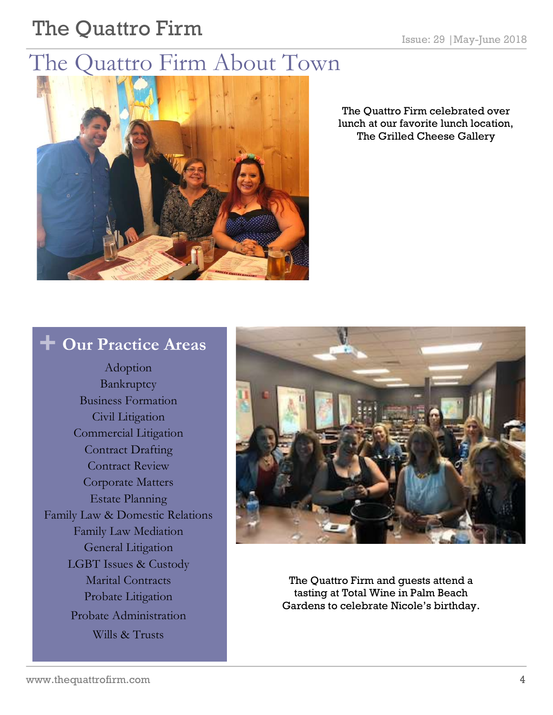# The Quattro Firm **Issue: 29 |May-June 2018**

## The Quattro Firm About Town



The Quattro Firm celebrated over lunch at our favorite lunch location, The Grilled Cheese Gallery

#### **+ Our Practice Areas**

Adoption Bankruptcy Business Formation Civil Litigation Commercial Litigation Contract Drafting Contract Review Corporate Matters Estate Planning Family Law & Domestic Relations Family Law Mediation General Litigation LGBT Issues & Custody Marital Contracts Probate Litigation Probate Administration Wills & Trusts



The Quattro Firm and guests attend a tasting at Total Wine in Palm Beach Gardens to celebrate Nicole's birthday.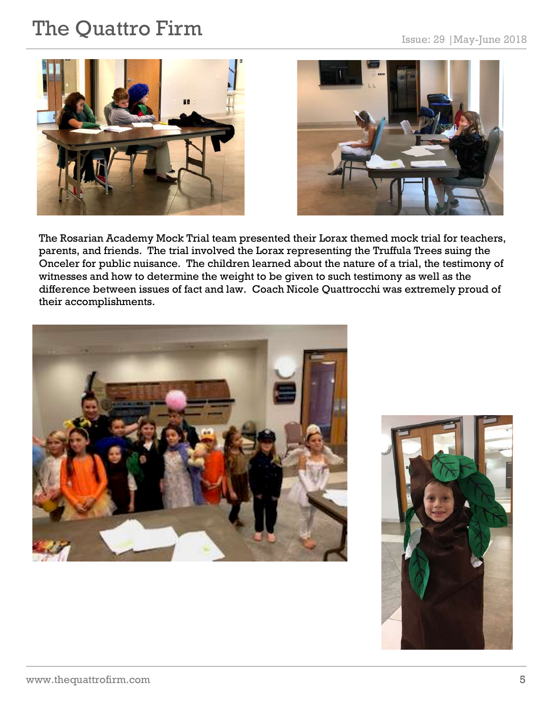# The Quattro Firm **Issue: 29 |May-June 2018**





The Rosarian Academy Mock Trial team presented their Lorax themed mock trial for teachers, parents, and friends. The trial involved the Lorax representing the Truffula Trees suing the Onceler for public nuisance. The children learned about the nature of a trial, the testimony of witnesses and how to determine the weight to be given to such testimony as well as the difference between issues of fact and law. Coach Nicole Quattrocchi was extremely proud of their accomplishments.



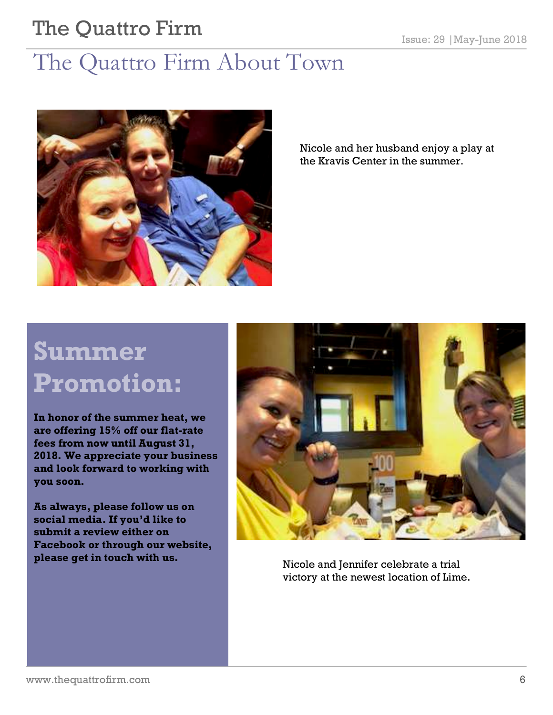# The Quattro Firm Issue: 29 | May-June 2018

## The Quattro Firm About Town



Nicole and her husband enjoy a play at the Kravis Center in the summer.

# **Summer Promotion:**

**In honor of the summer heat, we are offering 15% off our flat-rate fees from now until August 31, 2018. We appreciate your business and look forward to working with you soon.**

**As always, please follow us on social media. If you'd like to submit a review either on Facebook or through our website, please get in touch with us.** 



Nicole and Jennifer celebrate a trial victory at the newest location of Lime.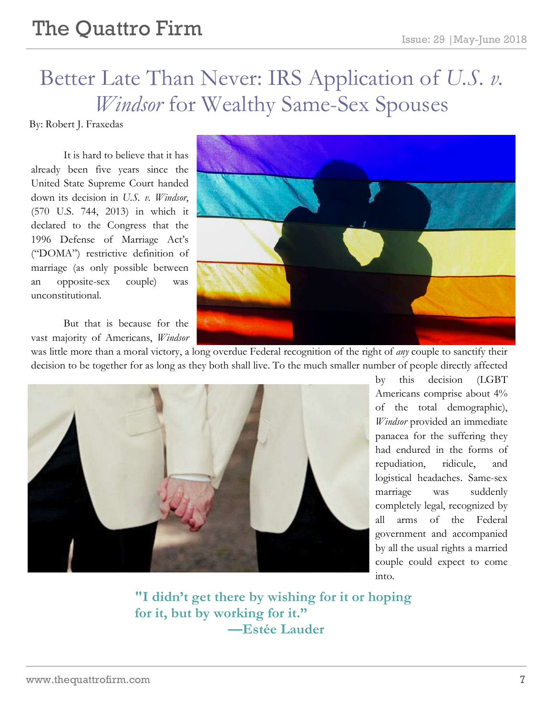# The Quattro Firm Issue: 29 | May-June 2018

## Better Late Than Never: IRS Application of *U.S. v. Windsor* for Wealthy Same-Sex Spouses

By: Robert J. Fraxedas

It is hard to believe that it has already been five years since the United State Supreme Court handed down its decision in *U.S. v. Windsor*, (570 U.S. 744, 2013) in which it declared to the Congress that the 1996 Defense of Marriage Act's ("DOMA") restrictive definition of marriage (as only possible between an opposite-sex couple) was unconstitutional.

But that is because for the vast majority of Americans, *Windsor*



was little more than a moral victory, a long overdue Federal recognition of the right of *any* couple to sanctify their decision to be together for as long as they both shall live. To the much smaller number of people directly affected



by this decision (LGBT Americans comprise about 4% of the total demographic), *Windsor* provided an immediate panacea for the suffering they had endured in the forms of repudiation, ridicule, and logistical headaches. Same-sex marriage was suddenly completely legal, recognized by all arms of the Federal government and accompanied by all the usual rights a married couple could expect to come into.

**"I didn't get there by wishing for it or hoping for it, but by working for it." —Estée Lauder**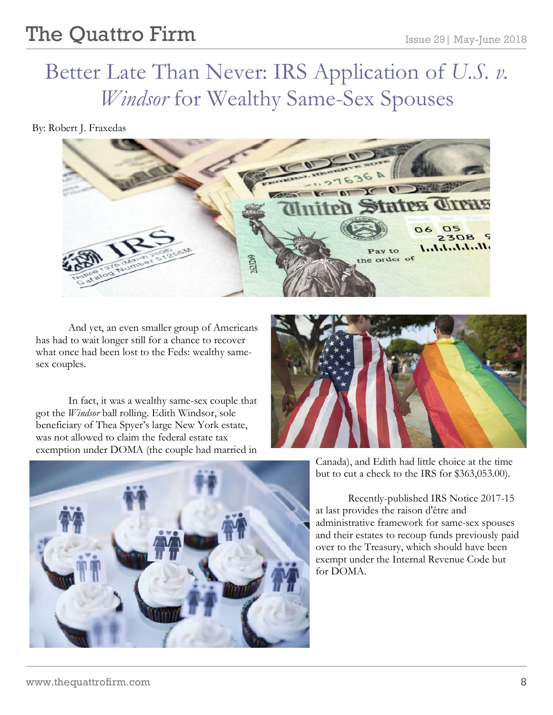## Better Late Than Never: IRS Application of *U.S. v. Windsor* for Wealthy Same-Sex Spouses

By: Robert J. Fraxedas



And yet, an even smaller group of Americans has had to wait longer still for a chance to recover what once had been lost to the Feds: wealthy samesex couples.

In fact, it was a wealthy same-sex couple that got the *Windsor* ball rolling. Edith Windsor, sole beneficiary of Thea Spyer's large New York estate, was not allowed to claim the federal estate tax exemption under DOMA (the couple had married in





Canada), and Edith had little choice at the time but to cut a check to the IRS for \$363,053.00).

Recently-published IRS Notice 2017-15 at last provides the raison d'être and administrative framework for same-sex spouses and their estates to recoup funds previously paid over to the Treasury, which should have been exempt under the Internal Revenue Code but for DOMA.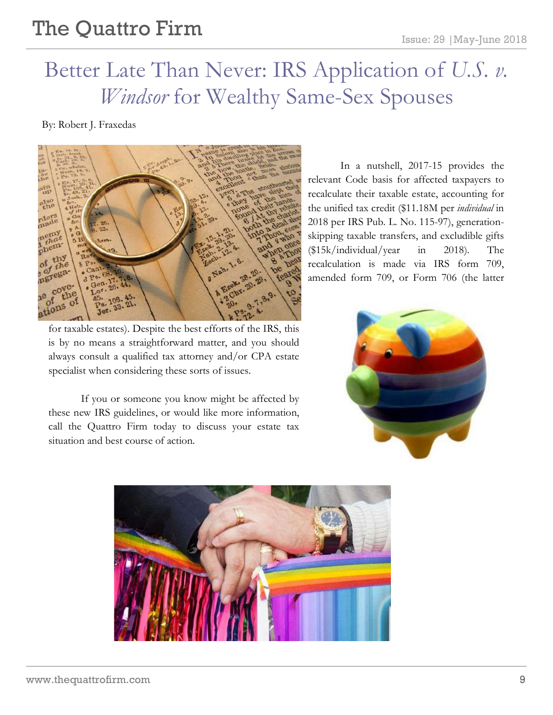### Better Late Than Never: IRS Application of *U.S. v. Windsor* for Wealthy Same-Sex Spouses

By: Robert J. Fraxedas



for taxable estates). Despite the best efforts of the IRS, this is by no means a straightforward matter, and you should always consult a qualified tax attorney and/or CPA estate specialist when considering these sorts of issues.

If you or someone you know might be affected by these new IRS guidelines, or would like more information, call the Quattro Firm today to discuss your estate tax situation and best course of action.

In a nutshell, 2017-15 provides the relevant Code basis for affected taxpayers to recalculate their taxable estate, accounting for the unified tax credit (\$11.18M per *individual* in 2018 per IRS Pub. L. No. 115-97), generationskipping taxable transfers, and excludible gifts (\$15k/individual/year in 2018). The recalculation is made via IRS form 709, amended form 709, or Form 706 (the latter